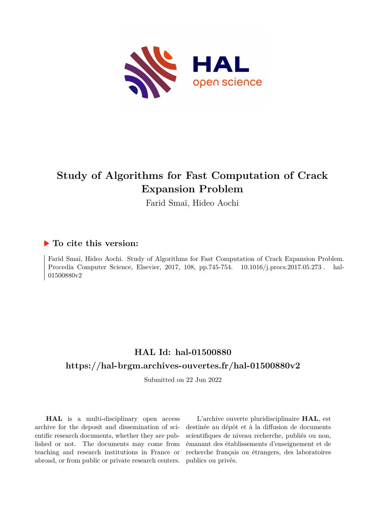

# **Study of Algorithms for Fast Computation of Crack Expansion Problem**

Farid Smaï, Hideo Aochi

## **To cite this version:**

Farid Smaï, Hideo Aochi. Study of Algorithms for Fast Computation of Crack Expansion Problem. Procedia Computer Science, Elsevier, 2017, 108, pp.745-754. 10.1016/j.procs.2017.05.273. hal-01500880v2

## **HAL Id: hal-01500880 <https://hal-brgm.archives-ouvertes.fr/hal-01500880v2>**

Submitted on 22 Jun 2022

**HAL** is a multi-disciplinary open access archive for the deposit and dissemination of scientific research documents, whether they are published or not. The documents may come from teaching and research institutions in France or abroad, or from public or private research centers.

L'archive ouverte pluridisciplinaire **HAL**, est destinée au dépôt et à la diffusion de documents scientifiques de niveau recherche, publiés ou non, émanant des établissements d'enseignement et de recherche français ou étrangers, des laboratoires publics ou privés.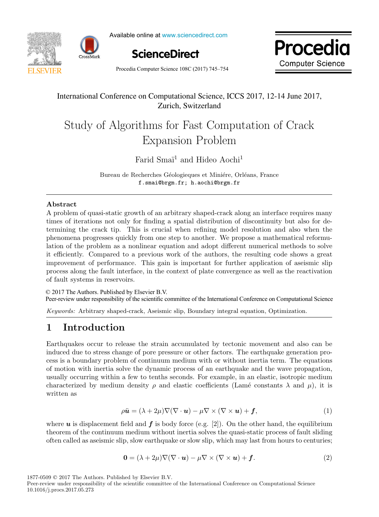



Available online at www.sciencedirect.com





Procedia Computer Science  $108C(2017)$  745–754  $\qquad \qquad \qquad \qquad$  $T_{\text{total}}$  supplies belong for  $\left(\frac{1}{2} \cdot 1\right)$ , do not use it use it use it use it use it use it use it use it use it use it use it use it use it use it use it use it use it use it use it use it use it use it use it use

## International Conference on Computational Science, ICCS 2017, 12-14 June 2017, Zurich, Switzerland

#### Study of Algorithms for Fast Computation of Crack Expansion Problem Study of Algorithms for Fast Computation of Crack Study of Algorithms for Fast Computation of Crack Expansion Problem

Farid Smai<sup>1</sup> and Hideo Aochi<sup>1</sup> Farid Smaï<sup>1</sup> and Hideo Aochi<sup>1</sup> Farid Smai<sup>1</sup> and Hideo Aochi<sup>1</sup>

Bureau de Recherches Géologieques et Miniére, Orléans, France f.smai@brgm.fr; h.aochi@brgm.fr f.smai@brgm.fr; h.aochi@brgm.fr Bureau de Recherches Géologieques et Miniére, Orléans, France

f.smai@brgm.fr; h.aochi@brgm.fr

#### Abstract

A problem of quasi-static growth of an arbitrary shaped-crack along an interface requires many times of iterations not only for finding a spatial distribution of discontinuity but also for determining the crack tip. This is crucial when refining model resolution and also when the phenomena progresses quickly from one step to another. We propose a mathematical reformulation of the problem as a nonlinear equation and adopt different numerical methods to solve it efficiently. Compared to a previous work of the authors, the resulting code shows a great improvement of performance. This gain is important for further application of assismic slip process along the fault interface, in the context of plate convergence as well as the reactivation of fault systems in reservoirs.

© 2017 The Authors. Published by Elsevier B.V. Peer-review under responsibility of the scientific committee of the International Conference on Computational Science  $\overline{a}$ 

Keywords: Arbitrary shaped-crack, Aseismic slip, Boundary integral equation, Optimization.

## 1 Introduction 1 Introduction <u>1 International Communication</u><br>1 International Communication

Earthquakes occur to release the strain accumulated by tectonic movement and also can be induced due to stress change of pore pressure or other factors. The earthquake generation process is a boundary problem of continuum medium with or without inertia term. The equations of motion with inertia solve the dynamic process of an earthquake and the wave propagation, usually occurring within a few to tenths seconds. For example, in an elastic, isotropic medium characterized by medium density  $\rho$  and elastic coefficients (Lamé constants  $\lambda$  and  $\mu$ ), it is written as written as  $\alpha$  medium density  $\rho$  and  $\alpha$  and  $\rho$  coefficients  $\alpha$ 

$$
\rho \ddot{\mathbf{u}} = (\lambda + 2\mu) \nabla (\nabla \cdot \mathbf{u}) - \mu \nabla \times (\nabla \times \mathbf{u}) + \mathbf{f}, \tag{1}
$$

where  $\boldsymbol{u}$  is displacement field and  $\boldsymbol{f}$  is body force (e.g. [2]). On the other hand, the equilibrium theorem of the continuum medium without inertia solves the quasi-static process of fault sliding often called as aseismic slip, slow earthquake or slow slip, which may last from hours to centuries; often called as assignic slip, slow earthquake or slow slip, which may last from hours to centuries;

$$
\mathbf{0} = (\lambda + 2\mu)\nabla(\nabla \cdot \mathbf{u}) - \mu \nabla \times (\nabla \times \mathbf{u}) + \mathbf{f}.
$$
 (2)

1877-0509 © 2017 The Authors. Published by Elsevier B.V.

Peer-review under responsibility of the scientific committee of the International Conference on Computational Science 10.1016/j.procs.2017.05.273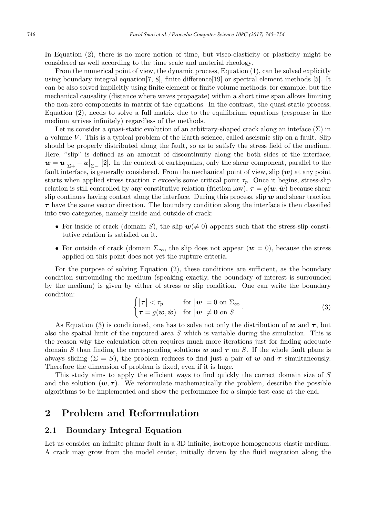In Equation (2), there is no more notion of time, but visco-elasticity or plasticity might be considered as well according to the time scale and material rheology.

From the numerical point of view, the dynamic process, Equation  $(1)$ , can be solved explicitly using boundary integral equation[7, 8], finite difference[19] or spectral element methods [5]. It can be also solved implicitly using finite element or finite volume methods, for example, but the mechanical causality (distance where waves propagate) within a short time span allows limiting the non-zero components in matrix of the equations. In the contrast, the quasi-static process, Equation (2), needs to solve a full matrix due to the equilibrium equations (response in the medium arrives infinitely) regardless of the methods.

Let us consider a quasi-static evolution of an arbitrary-shaped crack along an inteface  $(\Sigma)$  in a volume  $V$ . This is a typical problem of the Earth science, called aseismic slip on a fault. Slip should be properly distributed along the fault, so as to satisfy the stress field of the medium. Here, "slip" is defined as an amount of discontinuity along the both sides of the interface;  $\boldsymbol{w} = \boldsymbol{u}|_{\Sigma+} - \boldsymbol{u}|_{\Sigma-}$  [2]. In the context of earthquakes, only the shear component, parallel to the fault interface, is generally considered. From the mechanical point of view, slip  $(w)$  at any point starts when applied stress traction  $\tau$  exceeds some critical point  $\tau_p$ . Once it begins, stress-slip relation is still controlled by any constitutive relation (friction law),  $\tau = g(w, \dot{w})$  because shear slip continues having contact along the interface. During this process, slip  $w$  and shear traction  $\tau$  have the same vector direction. The boundary condition along the interface is then classified into two categories, namely inside and outside of crack:

- For inside of crack (domain S), the slip  $w(\neq 0)$  appears such that the stress-slip constitutive relation is satisfied on it.
- For outside of crack (domain  $\Sigma_{\infty}$ , the slip does not appear  $(w = 0)$ , because the stress applied on this point does not yet the rupture criteria.

For the purpose of solving Equation (2), these conditions are sufficient, as the boundary condition surrounding the medium (speaking exactly, the boundary of interest is surrounded by the medium) is given by either of stress or slip condition. One can write the boundary condition:

$$
\begin{cases} |\tau| < \tau_p & \text{for } |\boldsymbol{w}| = 0 \text{ on } \Sigma_{\infty} \\ \tau = g(\boldsymbol{w}, \dot{\boldsymbol{w}}) & \text{for } |\boldsymbol{w}| \neq \boldsymbol{0} \text{ on } S \end{cases} . \tag{3}
$$

As Equation (3) is conditioned, one has to solve not only the distribution of w and  $\tau$ , but also the spatial limit of the ruptured area  $S$  which is variable during the simulation. This is the reason why the calculation often requires much more iterations just for finding adequate domain S than finding the corresponding solutions w and  $\tau$  on S. If the whole fault plane is always sliding  $(\Sigma = S)$ , the problem reduces to find just a pair of w and  $\tau$  simultaneously. Therefore the dimension of problem is fixed, even if it is huge.

This study aims to apply the efficient ways to find quickly the correct domain size of S and the solution  $(w, \tau)$ . We reformulate mathematically the problem, describe the possible algorithms to be implemented and show the performance for a simple test case at the end.

### 2 Problem and Reformulation

#### 2.1 Boundary Integral Equation

Let us consider an infinite planar fault in a 3D infinite, isotropic homogeneous elastic medium. A crack may grow from the model center, initially driven by the fluid migration along the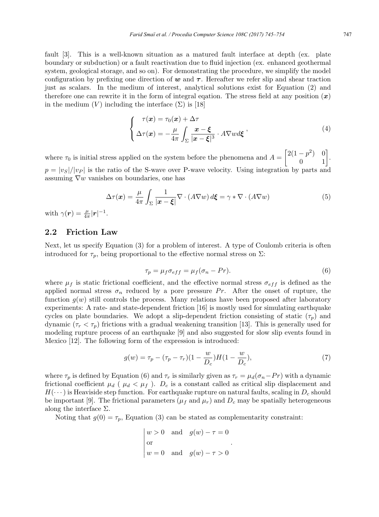fault [3]. This is a well-known situation as a matured fault interface at depth (ex. plate boundary or subduction) or a fault reactivation due to fluid injection (ex. enhanced geothermal system, geological storage, and so on). For demonstrating the procedure, we simplify the model configuration by prefixing one direction of  $w$  and  $\tau$ . Hereafter we refer slip and shear traction just as scalars. In the medium of interest, analytical solutions exist for Equation (2) and therefore one can rewrite it in the form of integral eqation. The stress field at any position  $(x)$ in the medium  $(V)$  including the interface  $(\Sigma)$  is [18]

$$
\begin{cases}\n\tau(\boldsymbol{x}) = \tau_0(\boldsymbol{x}) + \Delta \tau \\
\Delta \tau(\boldsymbol{x}) = -\frac{\mu}{4\pi} \int_{\Sigma} \frac{\boldsymbol{x} - \boldsymbol{\xi}}{|\boldsymbol{x} - \boldsymbol{\xi}|^3} \cdot A \nabla w d\boldsymbol{\xi} \n\end{cases} \tag{4}
$$

where  $\tau_0$  is initial stress applied on the system before the phenomena and  $A =$  $\begin{bmatrix} 2(1-p^2) & 0 \\ 0 & 1 \end{bmatrix}.$  $p = |v_S|/|v_P|$  is the ratio of the S-wave over P-wave velocity. Using integration by parts and assuming  $\nabla w$  vanishes on boundaries, one has

$$
\Delta \tau(\boldsymbol{x}) = \frac{\mu}{4\pi} \int_{\Sigma} \frac{1}{|\boldsymbol{x} - \boldsymbol{\xi}|} \nabla \cdot (A \nabla w) d\boldsymbol{\xi} = \gamma * \nabla \cdot (A \nabla w)
$$
(5)

with  $\gamma(\boldsymbol{r}) = \frac{\mu}{4\pi} |\boldsymbol{r}|^{-1}$ .

#### 2.2 Friction Law

Next, let us specify Equation (3) for a problem of interest. A type of Coulomb criteria is often introduced for  $\tau_p$ , being proportional to the effective normal stress on  $\Sigma$ :

$$
\tau_p = \mu_f \sigma_{eff} = \mu_f (\sigma_n - Pr). \tag{6}
$$

where  $\mu_f$  is static frictional coefficient, and the effective normal stress  $\sigma_{eff}$  is defined as the applied normal stress  $\sigma_n$  reduced by a pore pressure Pr. After the onset of rupture, the function  $q(w)$  still controls the process. Many relations have been proposed after laboratory experiments: A rate- and state-dependent friction [16] is mostly used for simulating earthquake cycles on plate boundaries. We adopt a slip-dependent friction consisting of static  $(\tau_p)$  and dynamic  $(\tau_r < \tau_p)$  frictions with a gradual weakening transition [13]. This is generally used for modeling rupture process of an earthquake [9] and also suggested for slow slip events found in Mexico [12]. The following form of the expression is introduced:

$$
g(w) = \tau_p - (\tau_p - \tau_r)(1 - \frac{w}{D_c})H(1 - \frac{w}{D_c}),
$$
\n(7)

where  $\tau_p$  is defined by Equation (6) and  $\tau_r$  is similarly given as  $\tau_r = \mu_d(\sigma_n - Pr)$  with a dynamic frictional coefficient  $\mu_d$  ( $\mu_d < \mu_f$ ).  $D_c$  is a constant called as critical slip displacement and  $H(\cdots)$  is Heaviside step function. For earthquake rupture on natural faults, scaling in  $D_c$  should be important [9]. The frictional parameters ( $\mu_f$  and  $\mu_r$ ) and  $D_c$  may be spatially heterogeneous along the interface  $\Sigma$ .

Noting that  $g(0) = \tau_p$ , Equation (3) can be stated as complementarity constraint:

$$
\begin{vmatrix} w > 0 & \text{and} & g(w) - \tau = 0 \\ \text{or} & & \\ w = 0 & \text{and} & g(w) - \tau > 0 \end{vmatrix}.
$$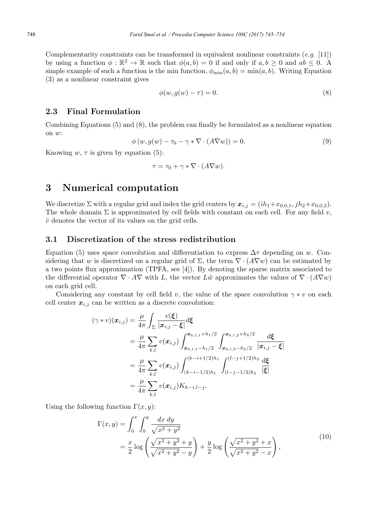Complementarity constraints can be transformed in equivalent nonlinear constraints  $(e.g. [11])$ by using a function  $\phi : \mathbb{R}^2 \to \mathbb{R}$  such that  $\phi(a, b) = 0$  if and only if  $a, b \ge 0$  and  $ab \le 0$ . A simple example of such a function is the min function,  $\phi_{\min}(a, b) = \min(a, b)$ . Writing Equation (3) as a nonlinear constraint gives

$$
\phi(w, g(w) - \tau) = 0. \tag{8}
$$

#### 2.3 Final Formulation

Combining Equations (5) and (8), the problem can finally be formulated as a nonlinear equation on w:

$$
\phi(w, g(w) - \tau_0 - \gamma * \nabla \cdot (A \nabla w)) = 0.
$$
\n(9)

Knowing w,  $\tau$  is given by equation (5):

$$
\tau = \tau_0 + \gamma * \nabla \cdot (A \nabla w).
$$

## 3 Numerical computation

We discretize  $\Sigma$  with a regular grid and index the grid centers by  $x_{i,j} = (ih_1+x_{0,0,1}, jh_2+x_{0,0,2})$ . The whole domain  $\Sigma$  is approximated by cell fields with constant on each cell. For any field v,  $\tilde{v}$  denotes the vector of its values on the grid cells.

#### 3.1 Discretization of the stress redistribution

Equation (5) uses space convolution and differentiation to express  $\Delta \tau$  depending on w. Considering that w is discretized on a regular grid of  $\Sigma$ , the term  $\nabla \cdot (A \nabla w)$  can be estimated by a two points flux approximation (TPFA, see [4]). By denoting the sparse matrix associated to the differential operator  $\nabla \cdot A \nabla$  with L, the vector Lw approximates the values of  $\nabla \cdot (A \nabla w)$ on each grid cell.

Considering any constant by cell field v, the value of the space convolution  $\gamma * v$  on each cell center  $x_{i,j}$  can be written as a discrete convolution:

$$
(\gamma * v)(\boldsymbol{x}_{i,j}) = \frac{\mu}{4\pi} \int_{\Sigma} \frac{v(\boldsymbol{\xi})}{|\boldsymbol{x}_{i,j} - \boldsymbol{\xi}|} d\boldsymbol{\xi}
$$
  
\n
$$
= \frac{\mu}{4\pi} \sum_{k,l} v(\boldsymbol{x}_{i,j}) \int_{\boldsymbol{x}_{k,l,1} - h_1/2}^{\boldsymbol{x}_{k,l,1} + h_1/2} \int_{\boldsymbol{x}_{k,l,2} - h_2/2}^{\boldsymbol{x}_{k,l,2} + h_2/2} \frac{d\boldsymbol{\xi}}{|\boldsymbol{x}_{i,j} - \boldsymbol{\xi}|}
$$
  
\n
$$
= \frac{\mu}{4\pi} \sum_{k,l} v(\boldsymbol{x}_{i,j}) \int_{(k-i-1/2)h_1}^{(k-i+1/2)h_1} \int_{(l-j-1/2)h_2}^{(l-j+1/2)h_2} \frac{d\boldsymbol{\xi}}{|\boldsymbol{\xi}|}
$$
  
\n
$$
= \frac{\mu}{4\pi} \sum_{k,l} v(\boldsymbol{x}_{i,j}) K_{k-i,l-j}.
$$

Using the following function  $\Gamma(x, y)$ :

$$
\Gamma(x,y) = \int_0^x \int_0^y \frac{dx \, dy}{\sqrt{x^2 + y^2}} \n= \frac{x}{2} \log \left( \frac{\sqrt{x^2 + y^2} + y}{\sqrt{x^2 + y^2} - y} \right) + \frac{y}{2} \log \left( \frac{\sqrt{x^2 + y^2} + x}{\sqrt{x^2 + y^2} - x} \right),
$$
\n(10)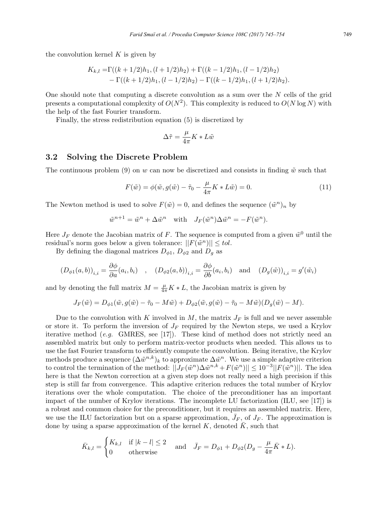the convolution kernel  $K$  is given by

$$
K_{k,l} = \Gamma((k+1/2)h_1, (l+1/2)h_2) + \Gamma((k-1/2)h_1, (l-1/2)h_2)
$$
  
-  $\Gamma((k+1/2)h_1, (l-1/2)h_2) - \Gamma((k-1/2)h_1, (l+1/2)h_2).$ 

One should note that computing a discrete convolution as a sum over the  $N$  cells of the grid presents a computational complexity of  $O(N^2)$ . This complexity is reduced to  $O(N \log N)$  with the help of the fast Fourier transform.

Finally, the stress redistribution equation (5) is discretized by

$$
\Delta \tilde{\tau} = \frac{\mu}{4\pi} K * L \tilde{w}
$$

#### 3.2 Solving the Discrete Problem

The continuous problem (9) on w can now be discretized and consists in finding  $\tilde{w}$  such that

$$
F(\tilde{w}) = \phi(\tilde{w}, g(\tilde{w}) - \tilde{\tau}_0 - \frac{\mu}{4\pi}K * L\tilde{w}) = 0.
$$
\n(11)

The Newton method is used to solve  $F(\tilde{w}) = 0$ , and defines the sequence  $(\tilde{w}^n)_n$  by

$$
\tilde{w}^{n+1} = \tilde{w}^n + \Delta \tilde{w}^n \quad \text{with} \quad J_F(\tilde{w}^n) \Delta \tilde{w}^n = -F(\tilde{w}^n).
$$

Here  $J_F$  denote the Jacobian matrix of F. The sequence is computed from a given  $\tilde{w}^0$  until the residual's norm goes below a given tolerance:  $||F(\tilde{w}^n)|| \leq tol$ .

By defining the diagonal matrices  $D_{\phi 1}$ ,  $D_{\phi 2}$  and  $D_q$  as

$$
(D_{\phi 1}(a, b))_{i,i} = \frac{\partial \phi}{\partial a}(a_i, b_i)
$$
,  $(D_{\phi 2}(a, b))_{i,i} = \frac{\partial \phi}{\partial b}(a_i, b_i)$  and  $(D_g(\tilde{w}))_{i,i} = g'(\tilde{w}_i)$ 

and by denoting the full matrix  $M = \frac{\mu}{4\pi} K * L$ , the Jacobian matrix is given by

$$
J_F(\tilde{w}) = D_{\phi 1}(\tilde{w}, g(\tilde{w}) - \tilde{\tau}_0 - M\tilde{w}) + D_{\phi 2}(\tilde{w}, g(\tilde{w}) - \tilde{\tau}_0 - M\tilde{w})(D_g(\tilde{w}) - M).
$$

Due to the convolution with K involved in M, the matrix  $J_F$  is full and we never assemble or store it. To perform the inversion of  $J_F$  required by the Newton steps, we used a Krylov iterative method  $(e.g. \text{GMRES}, \text{see } [17])$ . These kind of method does not strictly need an assembled matrix but only to perform matrix-vector products when needed. This allows us to use the fast Fourier transform to efficiently compute the convolution. Being iterative, the Krylov methods produce a sequence  $(\Delta \tilde{w}^{n,k})_k$  to approximate  $\Delta \tilde{w}^n$ . We use a simple adaptive criterion to control the termination of the method:  $||J_F(\tilde{w}^n)\Delta \tilde{w}^{n,k} + F(\tilde{w}^n)|| \leq 10^{-3} ||F(\tilde{w}^n)||$ . The idea here is that the Newton correction at a given step does not really need a high precision if this step is still far from convergence. This adaptive criterion reduces the total number of Krylov iterations over the whole computation. The choice of the preconditioner has an important impact of the number of Krylov iterations. The incomplete LU factorization (ILU, see [17]) is a robust and common choice for the preconditioner, but it requires an assembled matrix. Here, we use the ILU factorization but on a sparse approximation,  $\bar{J}_F$ , of  $J_F$ . The approximation is done by using a sparse approximation of the kernel K, denoted  $\overline{K}$ , such that

$$
\bar{K}_{k,l} = \begin{cases} K_{k,l} & \text{if } |k-l| \le 2 \\ 0 & \text{otherwise} \end{cases} \quad \text{and} \quad \bar{J}_F = D_{\phi 1} + D_{\phi 2}(D_g - \frac{\mu}{4\pi}\bar{K} * L).
$$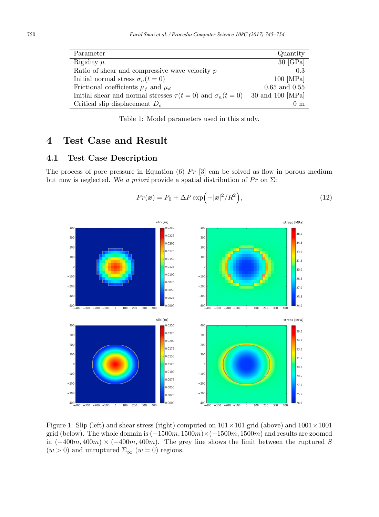| Parameter                                                         | Quantity          |
|-------------------------------------------------------------------|-------------------|
| Rigidity $\mu$                                                    | $30$ [GPa]        |
| Ratio of shear and compressive wave velocity $p$                  | 0.3               |
| Initial normal stress $\sigma_n(t=0)$                             | $100$ [MPa]       |
| Frictional coefficients $\mu_f$ and $\mu_d$                       | $0.65$ and $0.55$ |
| Initial shear and normal stresses $\tau(t=0)$ and $\sigma_n(t=0)$ | 30 and 100 [MPa]  |
| Critical slip displacement $D_c$                                  | 0 <sub>m</sub>    |

Table 1: Model parameters used in this study.

## 4 Test Case and Result

#### 4.1 Test Case Description

The process of pore pressure in Equation (6)  $Pr$  [3] can be solved as flow in porous medium but now is neglected. We a priori provide a spatial distribution of  $Pr$  on  $\Sigma$ :

$$
Pr(\boldsymbol{x}) = P_0 + \Delta P \exp(-|\boldsymbol{x}|^2/R^2), \qquad (12)
$$



Figure 1: Slip (left) and shear stress (right) computed on  $101 \times 101$  grid (above) and  $1001 \times 1001$ grid (below). The whole domain is  $(-1500m, 1500m) \times (-1500m, 1500m)$  and results are zoomed in  $(-400m, 400m) \times (-400m, 400m)$ . The grey line shows the limit between the ruptured S  $(w > 0)$  and unruptured  $\Sigma_{\infty}$   $(w = 0)$  regions.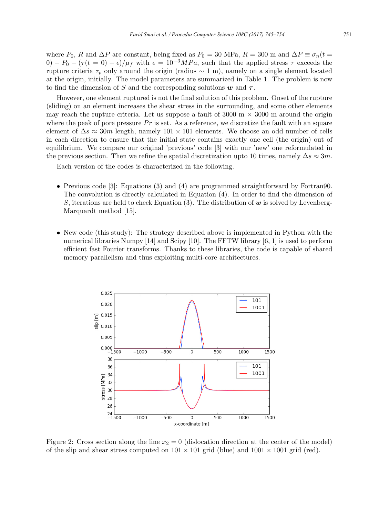where  $P_0$ , R and  $\Delta P$  are constant, being fixed as  $P_0 = 30$  MPa,  $R = 300$  m and  $\Delta P \equiv \sigma_n(t =$ 0) –  $P_0 - (\tau(t=0) - \epsilon)/\mu_f$  with  $\epsilon = 10^{-3} MPa$ , such that the applied stress  $\tau$  exceeds the rupture criteria  $\tau_p$  only around the origin (radius ~ 1 m), namely on a single element located at the origin, initially. The model parameters are summarized in Table 1. The problem is now to find the dimension of S and the corresponding solutions  $w$  and  $\tau$ .

However, one element ruptured is not the final solution of this problem. Onset of the rupture (sliding) on an element increases the shear stress in the surrounding, and some other elements may reach the rupture criteria. Let us suppose a fault of 3000 m  $\times$  3000 m around the origin where the peak of pore pressure  $Pr$  is set. As a reference, we discretize the fault with an square element of  $\Delta s \approx 30m$  length, namely  $101 \times 101$  elements. We choose an odd number of cells in each direction to ensure that the initial state contains exactly one cell (the origin) out of equilibrium. We compare our original 'previous' code [3] with our 'new' one reformulated in the previous section. Then we refine the spatial discretization upto 10 times, namely  $\Delta s \approx 3m$ .

Each version of the codes is characterized in the following.

- Previous code [3]: Equations (3) and (4) are programmed straightforward by Fortran90. The convolution is directly calculated in Equation (4). In order to find the dimension of S, iterations are held to check Equation (3). The distribution of  $w$  is solved by Levenberg-Marquardt method [15].
- New code (this study): The strategy described above is implemented in Python with the numerical libraries Numpy [14] and Scipy [10]. The FFTW library [6, 1] is used to perform efficient fast Fourier transforms. Thanks to these libraries, the code is capable of shared memory parallelism and thus exploiting multi-core architectures.



Figure 2: Cross section along the line  $x_2 = 0$  (dislocation direction at the center of the model) of the slip and shear stress computed on  $101 \times 101$  grid (blue) and  $1001 \times 1001$  grid (red).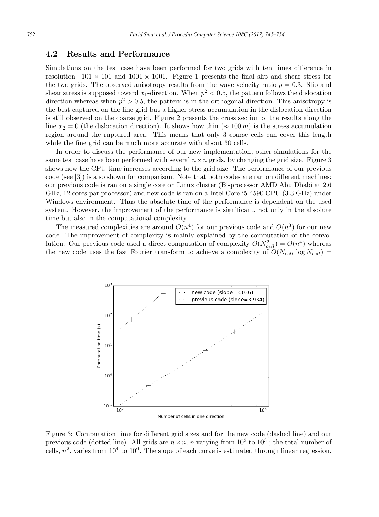#### 4.2 Results and Performance

Simulations on the test case have been performed for two grids with ten times difference in resolution:  $101 \times 101$  and  $1001 \times 1001$ . Figure 1 presents the final slip and shear stress for the two grids. The observed anisotropy results from the wave velocity ratio  $p = 0.3$ . Slip and shear stress is supposed toward  $x_1$ -direction. When  $p^2 < 0.5$ , the pattern follows the dislocation direction whereas when  $p^2 > 0.5$ , the pattern is in the orthogonal direction. This anisotropy is the best captured on the fine grid but a higher stress accumulation in the dislocation direction is still observed on the coarse grid. Figure 2 presents the cross section of the results along the line  $x_2 = 0$  (the dislocation direction). It shows how thin ( $\approx 100 \, m$ ) is the stress accumulation region around the ruptured area. This means that only 3 coarse cells can cover this length while the fine grid can be much more accurate with about 30 cells.

In order to discuss the performance of our new implementation, other simulations for the same test case have been performed with several  $n \times n$  grids, by changing the grid size. Figure 3 shows how the CPU time increases according to the grid size. The performance of our previous code (see [3]) is also shown for comparison. Note that both codes are ran on different machines: our previous code is ran on a single core on Linux cluster (Bi-processor AMD Abu Dhabi at 2.6 GHz, 12 cores par processor) and new code is ran on a Intel Core i5-4590 CPU (3.3 GHz) under Windows environment. Thus the absolute time of the performance is dependent on the used system. However, the improvement of the performance is significant, not only in the absolute time but also in the computational complexity.

The measured complexities are around  $O(n^4)$  for our previous code and  $O(n^3)$  for our new code. The improvement of complexity is mainly explained by the computation of the convolution. Our previous code used a direct computation of complexity  $O(N_{cell}^2) = O(n^4)$  whereas the new code uses the fast Fourier transform to achieve a complexity of  $O(N_{cell})$  log  $N_{cell}$ )



Figure 3: Computation time for different grid sizes and for the new code (dashed line) and our previous code (dotted line). All grids are  $n \times n$ , n varying from  $10^2$  to  $10^3$ ; the total number of cells,  $n^2$ , varies from  $10^4$  to  $10^6$ . The slope of each curve is estimated through linear regression.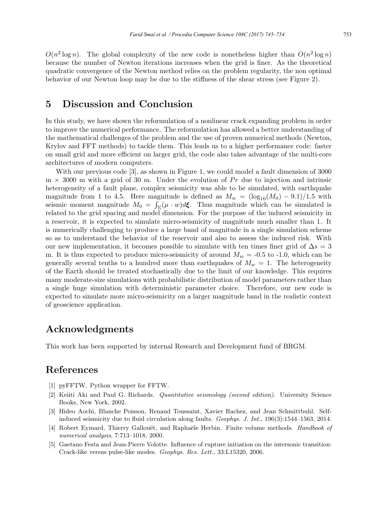$O(n^2 \log n)$ . The global complexity of the new code is nonetheless higher than  $O(n^2 \log n)$ because the number of Newton iterations increases when the grid is finer. As the theoretical quadratic convergence of the Newton method relies on the problem regularity, the non optimal behavior of our Newton loop may be due to the stiffness of the shear stress (see Figure 2).

## 5 Discussion and Conclusion

In this study, we have shown the reformulation of a nonlinear crack expanding problem in order to improve the numerical performance. The reformulation has allowed a better understanding of the mathematical challenges of the problem and the use of proven numerical methods (Newton, Krylov and FFT methods) to tackle them. This leads us to a higher performance code: faster on small grid and more efficient on larger grid, the code also takes advantage of the multi-core architectures of modern computers.

With our previous code [3], as shown in Figure 1, we could model a fault dimension of 3000  $m \times 3000$  m with a grid of 30 m. Under the evolution of Pr due to injection and intrinsic heterogeneity of a fault plane, complex seismicity was able to be simulated, with earthquake magnitude from 1 to 4.5. Here magnitude is defined as  $M_w = (\log_{10}(M_0) - 9.1)/1.5$  with seismic moment magnitude  $M_0 = \int_{\Sigma} (\mu \cdot w) d\mathbf{\xi}$ . Thus magnitude which can be simulated is related to the grid spacing and model dimension. For the purpose of the induced seismicity in a reservoir, it is expected to simulate micro-seismicity of magnitude much smaller than 1. It is numerically challenging to produce a large band of magnitude in a single simulation scheme so as to understand the behavior of the reservoir and also to assess the induced risk. With our new implementation, it becomes possible to simulate with ten times finer grid of  $\Delta s = 3$ m. It is thus expected to produce micro-seismicity of around  $M_w = -0.5$  to -1.0, which can be generally several tenths to a hundred more than earthquakes of  $M_w = 1$ . The heterogeneity of the Earth should be treated stochastically due to the limit of our knowledge. This requires many moderate-size simulations with probabilistic distribution of model parameters rather than a single huge simulation with deterministic parameter choice. Therefore, our new code is expected to simulate more micro-seismicity on a larger magnitude band in the realistic context of geoscience application.

## Acknowledgments

This work has been supported by internal Research and Development fund of BRGM.

## References

- [1] pyFFTW. Python wrapper for FFTW.
- [2] Keiiti Aki and Paul G. Richards. Quantitative seismology (second edition). University Science Books, New York, 2002.
- [3] Hideo Aochi, Blanche Poisson, Renaud Toussaint, Xavier Rachez, and Jean Schmittbuhl. Selfinduced seismicity due to fluid circulation along faults. Geophys. J. Int.,  $196(3):1544-1563$ ,  $2014$ .
- [4] Robert Eymard, Thierry Gallouët, and Raphaèle Herbin. Finite volume methods. Handbook of numerical analysis, 7:713–1018, 2000.
- [5] Gaetano Festa and Jean-Pierre Volotte. Influence of rupture initiation on the intersonic transition: Crack-like versus pulse-like modes. Geophys. Res. Lett., 33:L15320, 2006.